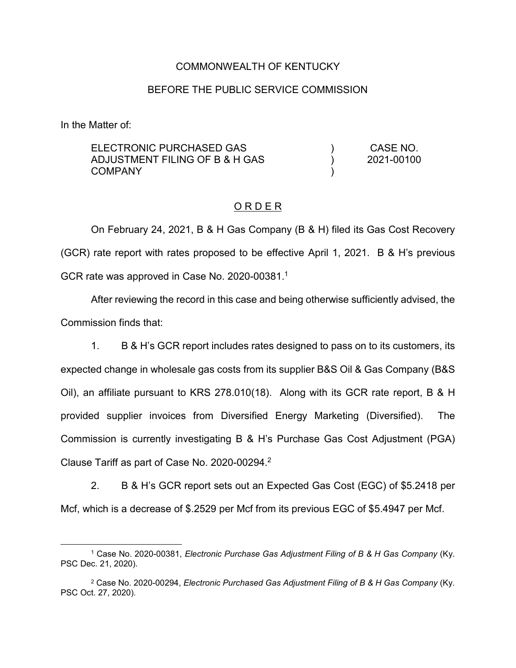### COMMONWEALTH OF KENTUCKY

### BEFORE THE PUBLIC SERVICE COMMISSION

In the Matter of:

| ELECTRONIC PURCHASED GAS       | CASE NO.   |
|--------------------------------|------------|
| ADJUSTMENT FILING OF B & H GAS | 2021-00100 |
| COMPANY                        |            |

#### O R D E R

On February 24, 2021, B & H Gas Company (B & H) filed its Gas Cost Recovery (GCR) rate report with rates proposed to be effective April 1, 2021. B & H's previous GCR rate was approved in Case No. 2020-00381.<sup>1</sup>

After reviewing the record in this case and being otherwise sufficiently advised, the Commission finds that:

1. B & H's GCR report includes rates designed to pass on to its customers, its expected change in wholesale gas costs from its supplier B&S Oil & Gas Company (B&S Oil), an affiliate pursuant to KRS 278.010(18). Along with its GCR rate report, B & H provided supplier invoices from Diversified Energy Marketing (Diversified). The Commission is currently investigating B & H's Purchase Gas Cost Adjustment (PGA) Clause Tariff as part of Case No. 2020-00294. 2

2. B & H's GCR report sets out an Expected Gas Cost (EGC) of \$5.2418 per Mcf, which is a decrease of \$.2529 per Mcf from its previous EGC of \$5.4947 per Mcf.

 <sup>1</sup> Case No. 2020-00381, *Electronic Purchase Gas Adjustment Filing of B & H Gas Company* (Ky. PSC Dec. 21, 2020).

<sup>2</sup> Case No. 2020-00294, *Electronic Purchased Gas Adjustment Filing of B & H Gas Company* (Ky. PSC Oct. 27, 2020)*.*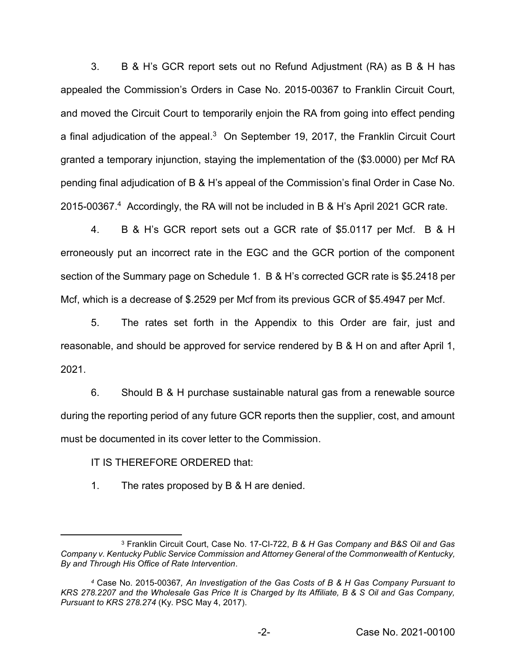3. B & H's GCR report sets out no Refund Adjustment (RA) as B & H has appealed the Commission's Orders in Case No. 2015-00367 to Franklin Circuit Court, and moved the Circuit Court to temporarily enjoin the RA from going into effect pending a final adjudication of the appeal.<sup>3</sup> On September 19, 2017, the Franklin Circuit Court granted a temporary injunction, staying the implementation of the (\$3.0000) per Mcf RA pending final adjudication of B & H's appeal of the Commission's final Order in Case No. 2015-00367.4 Accordingly, the RA will not be included in B & H's April 2021 GCR rate.

4. B & H's GCR report sets out a GCR rate of \$5.0117 per Mcf. B & H erroneously put an incorrect rate in the EGC and the GCR portion of the component section of the Summary page on Schedule 1. B & H's corrected GCR rate is \$5.2418 per Mcf, which is a decrease of \$.2529 per Mcf from its previous GCR of \$5.4947 per Mcf.

5. The rates set forth in the Appendix to this Order are fair, just and reasonable, and should be approved for service rendered by B & H on and after April 1, 2021.

6. Should B & H purchase sustainable natural gas from a renewable source during the reporting period of any future GCR reports then the supplier, cost, and amount must be documented in its cover letter to the Commission.

# IT IS THEREFORE ORDERED that:

1. The rates proposed by B & H are denied.

 <sup>3</sup> Franklin Circuit Court, Case No. 17-CI-722, *<sup>B</sup> & H Gas Company and B&S Oil and Gas Company v. Kentucky Public Service Commission and Attorney General of the Commonwealth of Kentucky, By and Through His Office of Rate Intervention*.

*<sup>4</sup>* Case No. 2015-00367*, An Investigation of the Gas Costs of B & H Gas Company Pursuant to KRS 278.2207 and the Wholesale Gas Price It is Charged by Its Affiliate, B & S Oil and Gas Company, Pursuant to KRS 278.274* (Ky. PSC May 4, 2017).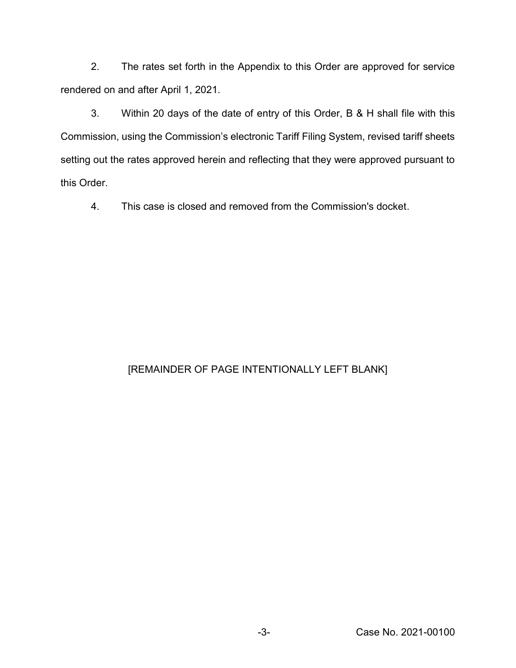2. The rates set forth in the Appendix to this Order are approved for service rendered on and after April 1, 2021.

3. Within 20 days of the date of entry of this Order, B & H shall file with this Commission, using the Commission's electronic Tariff Filing System, revised tariff sheets setting out the rates approved herein and reflecting that they were approved pursuant to this Order.

4. This case is closed and removed from the Commission's docket.

# [REMAINDER OF PAGE INTENTIONALLY LEFT BLANK]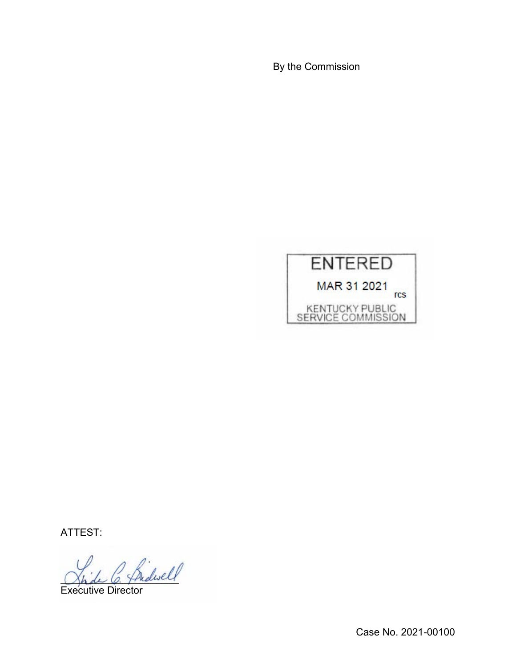By the Commission



ATTEST:

fridwell

Executive Director

Case No. 2021-00100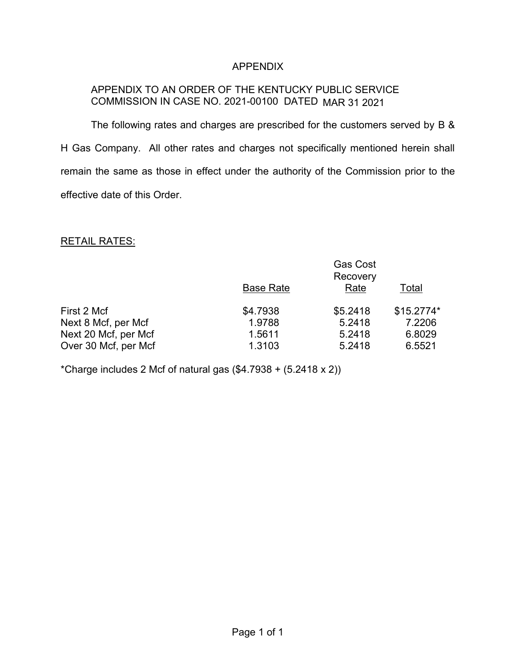## APPENDIX

## APPENDIX TO AN ORDER OF THE KENTUCKY PUBLIC SERVICE COMMISSION IN CASE NO. 2021-00100 DATED MAR 31 2021

The following rates and charges are prescribed for the customers served by B & H Gas Company. All other rates and charges not specifically mentioned herein shall remain the same as those in effect under the authority of the Commission prior to the effective date of this Order.

### RETAIL RATES:

|                      | <b>Gas Cost</b><br>Recovery |          |            |  |
|----------------------|-----------------------------|----------|------------|--|
|                      | <b>Base Rate</b>            | Rate     | Total      |  |
| First 2 Mcf          | \$4.7938                    | \$5.2418 | \$15.2774* |  |
| Next 8 Mcf, per Mcf  | 1.9788                      | 5.2418   | 7.2206     |  |
| Next 20 Mcf, per Mcf | 1.5611                      | 5.2418   | 6.8029     |  |
| Over 30 Mcf, per Mcf | 1.3103                      | 5.2418   | 6.5521     |  |

\*Charge includes 2 Mcf of natural gas  $(\$4.7938 + (5.2418 \times 2))$